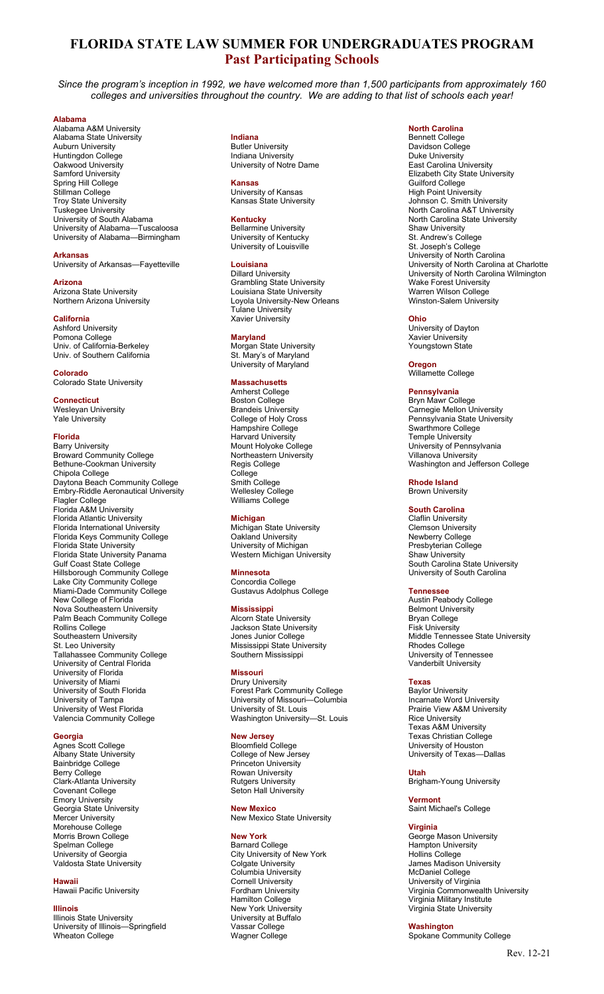# FLORIDA STATE LAW SUMMER FOR UNDERGRADUATES PROGRAM Past Participating Schools

Since the program's inception in 1992, we have welcomed more than 1,500 participants from approximately 160 colleges and universities throughout the country. We are adding to that list of schools each year!

### Alabama

Alabama A&M University Alabama State University Auburn University Huntingdon College Oakwood University Samford University Spring Hill College Stillman College Troy State University Tuskegee University University of South Alabama University of Alabama—Tuscaloosa University of Alabama—Birmingham

Arkansas University of Arkansas—Fayetteville

Arizona Arizona State University Northern Arizona University

### **California**

Ashford University Pomona College Univ. of California-Berkeley Univ. of Southern California

Colorado Colorado State University

Connecticut Wesleyan University Yale University

### Florida

Barry University Broward Community College Bethune-Cookman University Chipola College Daytona Beach Community College Embry-Riddle Aeronautical University Flagler College Florida A&M University Florida Atlantic University Florida International University Florida Keys Community College Florida State University Florida State University Panama Gulf Coast State College Hillsborough Community College Lake City Community College Miami-Dade Community College New College of Florida Nova Southeastern University Palm Beach Community College Rollins College Southeastern University St. Leo University Tallahassee Community College University of Central Florida University of Florida University of Miami University of South Florida University of Tampa University of West Florida Valencia Community College

### **Georgia**

Agnes Scott College Albany State University Bainbridge College Berry College Clark-Atlanta University Covenant College Emory University Georgia State University Mercer University Morehouse College Morris Brown College Spelman College University of Georgia Valdosta State University

Hawaii Hawaii Pacific University

## Illinois

Illinois State University University of Illinois—Springfield Wheaton College

Indiana **Butler University** Indiana University University of Notre Dame

### Kansas University of Kansas

Kansas State University Kentucky Bellarmine University

University of Kentucky University of Louisville

## Louisiana

Dillard University Grambling State University Louisiana State University Loyola University-New Orleans Tulane University Xavier University

## Maryland

Morgan State University St. Mary's of Maryland University of Maryland

## **Massachusetts**

Amherst College Boston College Brandeis University College of Holy Cross Hampshire College Harvard University Mount Holyoke College Northeastern University Regis College College Smith College Wellesley College Williams College

### **Michigan**

**Michigan State University** Oakland University University of Michigan Western Michigan University

#### Minnesota

Concordia College Gustavus Adolphus College

### Mississippi

**Alcorn State University** Jackson State University Jones Junior College Mississippi State University Southern Mississippi

## Missouri

Drury University Forest Park Community College University of Missouri—Columbia University of St. Louis Washington University—St. Louis

### New Jersey

Bloomfield College College of New Jersey Princeton University Rowan University Rutgers University Seton Hall University

### New Mexico New Mexico State University

## New York

Barnard College City University of New York Colgate University Columbia University Cornell University Fordham University Hamilton College New York University University at Buffalo Vassar College Wagner College

### North Carolina

Bennett College Davidson College Duke University East Carolina University Elizabeth City State University Guilford College High Point University Johnson C. Smith University North Carolina A&T University North Carolina State University Shaw University St. Andrew's College St. Joseph's College University of North Carolina University of North Carolina at Charlotte University of North Carolina Wilmington Wake Forest University Warren Wilson College Winston-Salem University

### Ohio University of Dayton Xavier University

Youngstown State

Oregon Willamette College

## Pennsylvania

Bryn Mawr College Carnegie Mellon University Pennsylvania State University Swarthmore College Temple University University of Pennsylvania Villanova University Washington and Jefferson College

#### Rhode Island Brown University

### South Carolina

Claflin University Clemson University Newberry College Presbyterian College Shaw University South Carolina State University University of South Carolina

### Tennessee

Austin Peabody College Belmont University Bryan College Fisk University Middle Tennessee State University Rhodes College University of Tennessee Vanderbilt University

### Texas

Baylor University Incarnate Word University Prairie View A&M University Rice University Texas A&M University Texas Christian College University of Houston University of Texas—Dallas

## Utah

Brigham-Young University

## Vermont

Saint Michael's College

### **Virginia**

George Mason University Hampton University Hollins College James Madison University McDaniel College University of Virginia Virginia Commonwealth University Virginia Military Institute Virginia State University

## Washington

Spokane Community College